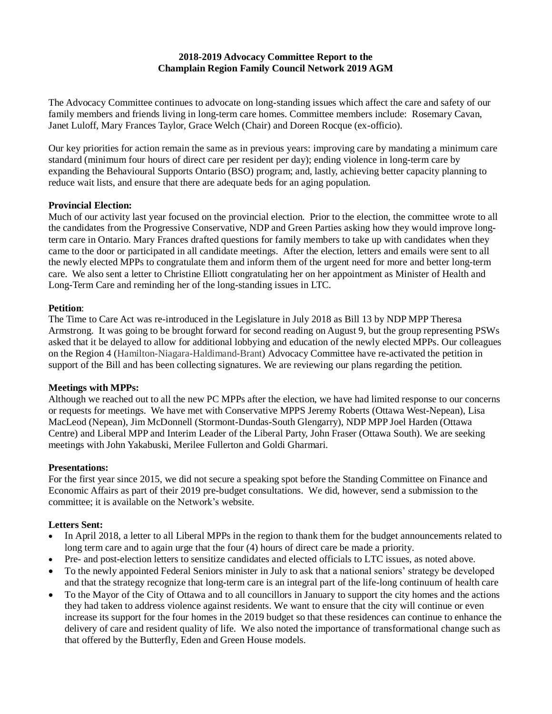# **2018-2019 Advocacy Committee Report to the Champlain Region Family Council Network 2019 AGM**

The Advocacy Committee continues to advocate on long-standing issues which affect the care and safety of our family members and friends living in long-term care homes. Committee members include: Rosemary Cavan, Janet Luloff, Mary Frances Taylor, Grace Welch (Chair) and Doreen Rocque (ex-officio).

Our key priorities for action remain the same as in previous years: improving care by mandating a minimum care standard (minimum four hours of direct care per resident per day); ending violence in long-term care by expanding the Behavioural Supports Ontario (BSO) program; and, lastly, achieving better capacity planning to reduce wait lists, and ensure that there are adequate beds for an aging population.

## **Provincial Election:**

Much of our activity last year focused on the provincial election. Prior to the election, the committee wrote to all the candidates from the Progressive Conservative, NDP and Green Parties asking how they would improve longterm care in Ontario. Mary Frances drafted questions for family members to take up with candidates when they came to the door or participated in all candidate meetings. After the election, letters and emails were sent to all the newly elected MPPs to congratulate them and inform them of the urgent need for more and better long-term care. We also sent a letter to Christine Elliott congratulating her on her appointment as Minister of Health and Long-Term Care and reminding her of the long-standing issues in LTC.

#### **Petition**:

The Time to Care Act was re-introduced in the Legislature in July 2018 as Bill 13 by NDP MPP Theresa Armstrong. It was going to be brought forward for second reading on August 9, but the group representing PSWs asked that it be delayed to allow for additional lobbying and education of the newly elected MPPs. Our colleagues on the Region 4 (Hamilton-Niagara-Haldimand-Brant) Advocacy Committee have re-activated the petition in support of the Bill and has been collecting signatures. We are reviewing our plans regarding the petition.

## **Meetings with MPPs:**

Although we reached out to all the new PC MPPs after the election, we have had limited response to our concerns or requests for meetings. We have met with Conservative MPPS Jeremy Roberts (Ottawa West-Nepean), Lisa MacLeod (Nepean), Jim McDonnell (Stormont-Dundas-South Glengarry), NDP MPP Joel Harden (Ottawa Centre) and Liberal MPP and Interim Leader of the Liberal Party, John Fraser (Ottawa South). We are seeking meetings with John Yakabuski, Merilee Fullerton and Goldi Gharmari.

## **Presentations:**

For the first year since 2015, we did not secure a speaking spot before the Standing Committee on Finance and Economic Affairs as part of their 2019 pre-budget consultations. We did, however, send a submission to the committee; it is available on the Network's website.

## **Letters Sent:**

- In April 2018, a letter to all Liberal MPPs in the region to thank them for the budget announcements related to long term care and to again urge that the four (4) hours of direct care be made a priority.
- Pre- and post-election letters to sensitize candidates and elected officials to LTC issues, as noted above.
- To the newly appointed Federal Seniors minister in July to ask that a national seniors' strategy be developed and that the strategy recognize that long-term care is an integral part of the life-long continuum of health care
- To the Mayor of the City of Ottawa and to all councillors in January to support the city homes and the actions they had taken to address violence against residents. We want to ensure that the city will continue or even increase its support for the four homes in the 2019 budget so that these residences can continue to enhance the delivery of care and resident quality of life. We also noted the importance of transformational change such as that offered by the Butterfly, Eden and Green House models.